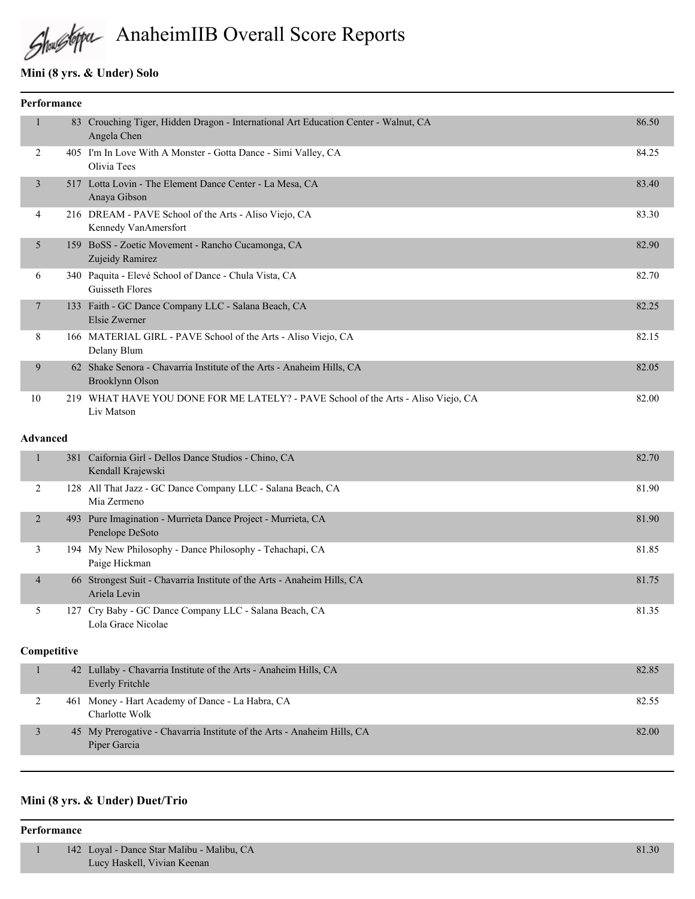# AnaheimIIB Overall Score Reports

# **Mini (8 yrs. & Under) Solo**

| <b>Performance</b> |    |                                                                                                 |       |
|--------------------|----|-------------------------------------------------------------------------------------------------|-------|
| 1                  | 83 | Crouching Tiger, Hidden Dragon - International Art Education Center - Walnut, CA<br>Angela Chen | 86.50 |
| 2                  |    | 405 I'm In Love With A Monster - Gotta Dance - Simi Valley, CA<br>Olivia Tees                   | 84.25 |
| $\overline{3}$     |    | 517 Lotta Lovin - The Element Dance Center - La Mesa, CA<br>Anaya Gibson                        | 83.40 |
| 4                  |    | 216 DREAM - PAVE School of the Arts - Aliso Viejo, CA<br>Kennedy VanAmersfort                   | 83.30 |
| 5                  |    | 159 BoSS - Zoetic Movement - Rancho Cucamonga, CA<br>Zujeidy Ramirez                            | 82.90 |
| 6                  |    | 340 Paquita - Elevé School of Dance - Chula Vista, CA<br>Guisseth Flores                        | 82.70 |
| $\overline{7}$     |    | 133 Faith - GC Dance Company LLC - Salana Beach, CA<br>Elsie Zwerner                            | 82.25 |
| 8                  |    | 166 MATERIAL GIRL - PAVE School of the Arts - Aliso Viejo, CA<br>Delany Blum                    | 82.15 |
| 9                  | 62 | Shake Senora - Chavarria Institute of the Arts - Anaheim Hills, CA<br>Brooklynn Olson           | 82.05 |
| 10                 |    | 219 WHAT HAVE YOU DONE FOR ME LATELY? - PAVE School of the Arts - Aliso Viejo, CA<br>Liv Matson | 82.00 |

#### **Advanced**

|                | 381 Caifornia Girl - Dellos Dance Studios - Chino, CA<br>Kendall Krajewski              | 82.70 |
|----------------|-----------------------------------------------------------------------------------------|-------|
| 2              | 128 All That Jazz - GC Dance Company LLC - Salana Beach, CA<br>Mia Zermeno              | 81.90 |
| $\mathfrak{D}$ | 493 Pure Imagination - Murrieta Dance Project - Murrieta, CA<br>Penelope DeSoto         | 81.90 |
| 3              | 194 My New Philosophy - Dance Philosophy - Tehachapi, CA<br>Paige Hickman               | 81.85 |
| $\overline{4}$ | 66 Strongest Suit - Chavarria Institute of the Arts - Anaheim Hills, CA<br>Ariela Levin | 81.75 |
| 5              | 127 Cry Baby - GC Dance Company LLC - Salana Beach, CA<br>Lola Grace Nicolae            | 81.35 |

#### **Competitive**

| 42 Lullaby - Chavarria Institute of the Arts - Anaheim Hills, CA<br>Everly Fritchle     | 82.85 |
|-----------------------------------------------------------------------------------------|-------|
| 461 Money - Hart Academy of Dance - La Habra, CA<br>Charlotte Wolk                      | 82.55 |
| 45 My Prerogative - Chavarria Institute of the Arts - Anaheim Hills, CA<br>Piper Garcia | 82.00 |

#### **Mini (8 yrs. & Under) Duet/Trio**

#### **Performance**

| 142 Loyal - Dance Star Malibu - Malibu, CA | 81.30 |
|--------------------------------------------|-------|
| Lucy Haskell, Vivian Keenan                |       |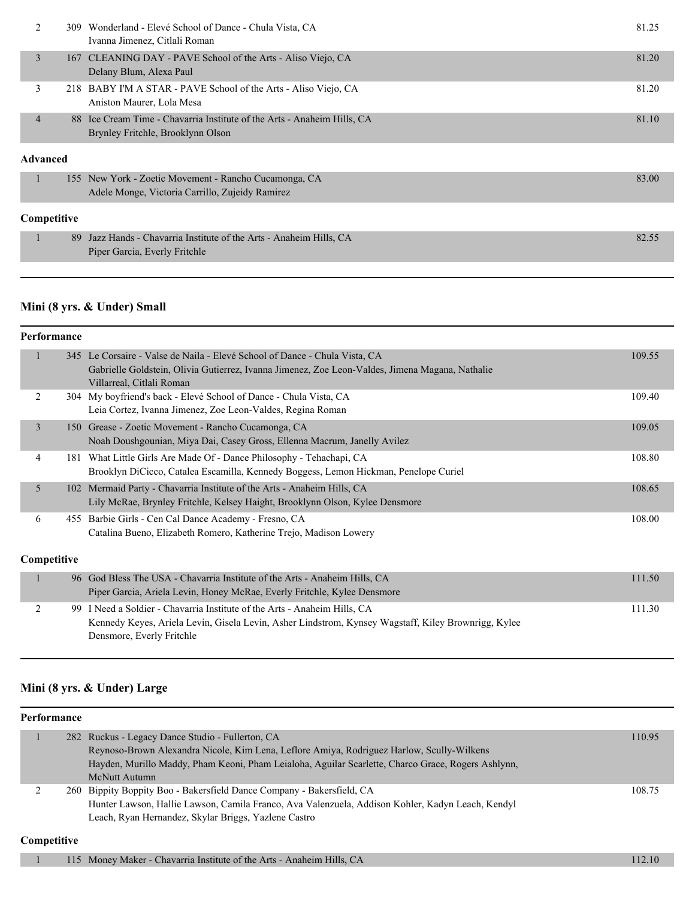| 2              |             | 309 Wonderland - Elevé School of Dance - Chula Vista, CA<br>Ivanna Jimenez, Citlali Roman                    | 81.25 |
|----------------|-------------|--------------------------------------------------------------------------------------------------------------|-------|
| 3              |             | 167 CLEANING DAY - PAVE School of the Arts - Aliso Viejo, CA<br>Delany Blum, Alexa Paul                      | 81.20 |
| 3              |             | 218 BABY I'M A STAR - PAVE School of the Arts - Aliso Viejo, CA<br>Aniston Maurer, Lola Mesa                 | 81.20 |
| $\overline{4}$ |             | 88 Ice Cream Time - Chavarria Institute of the Arts - Anaheim Hills, CA<br>Brynley Fritchle, Brooklynn Olson | 81.10 |
| Advanced       |             |                                                                                                              |       |
|                |             | 155 New York - Zoetic Movement - Rancho Cucamonga, CA<br>Adele Monge, Victoria Carrillo, Zujeidy Ramirez     | 83.00 |
|                | Competitive |                                                                                                              |       |
|                | 89          | Jazz Hands - Chavarria Institute of the Arts - Anaheim Hills, CA<br>Piper Garcia, Everly Fritchle            | 82.55 |

#### **Mini (8 yrs. & Under) Small**

|   | Performance |                                                                                                                                                                                                               |        |  |  |
|---|-------------|---------------------------------------------------------------------------------------------------------------------------------------------------------------------------------------------------------------|--------|--|--|
| 1 |             | 345 Le Corsaire - Valse de Naila - Elevé School of Dance - Chula Vista, CA<br>Gabrielle Goldstein, Olivia Gutierrez, Ivanna Jimenez, Zoe Leon-Valdes, Jimena Magana, Nathalie<br>Villarreal, Citlali Roman    | 109.55 |  |  |
| 2 |             | 304 My boyfriend's back - Elevé School of Dance - Chula Vista, CA<br>Leia Cortez, Ivanna Jimenez, Zoe Leon-Valdes, Regina Roman                                                                               | 109.40 |  |  |
| 3 | 150         | Grease - Zoetic Movement - Rancho Cucamonga, CA<br>Noah Doushgounian, Miya Dai, Casey Gross, Ellenna Macrum, Janelly Avilez                                                                                   | 109.05 |  |  |
| 4 | 181         | What Little Girls Are Made Of - Dance Philosophy - Tehachapi, CA<br>Brooklyn DiCicco, Catalea Escamilla, Kennedy Boggess, Lemon Hickman, Penelope Curiel                                                      | 108.80 |  |  |
| 5 |             | 102 Mermaid Party - Chavarria Institute of the Arts - Anaheim Hills, CA<br>Lily McRae, Brynley Fritchle, Kelsey Haight, Brooklynn Olson, Kylee Densmore                                                       | 108.65 |  |  |
| 6 | 455         | Barbie Girls - Cen Cal Dance Academy - Fresno, CA<br>Catalina Bueno, Elizabeth Romero, Katherine Trejo, Madison Lowery                                                                                        | 108.00 |  |  |
|   | Competitive |                                                                                                                                                                                                               |        |  |  |
|   |             | 96 God Bless The USA - Chavarria Institute of the Arts - Anaheim Hills, CA<br>Piper Garcia, Ariela Levin, Honey McRae, Everly Fritchle, Kylee Densmore                                                        | 111.50 |  |  |
| 2 |             | 99 I Need a Soldier - Chavarria Institute of the Arts - Anaheim Hills, CA<br>Kennedy Keyes, Ariela Levin, Gisela Levin, Asher Lindstrom, Kynsey Wagstaff, Kiley Brownrigg, Kylee<br>Densmore, Everly Fritchle | 111.30 |  |  |

### **Mini (8 yrs. & Under) Large**

| Performance |             |  |                                                                                                    |        |
|-------------|-------------|--|----------------------------------------------------------------------------------------------------|--------|
|             |             |  | 282 Ruckus - Legacy Dance Studio - Fullerton, CA                                                   | 110.95 |
|             |             |  | Reynoso-Brown Alexandra Nicole, Kim Lena, Leflore Amiya, Rodriguez Harlow, Scully-Wilkens          |        |
|             |             |  | Hayden, Murillo Maddy, Pham Keoni, Pham Leialoha, Aguilar Scarlette, Charco Grace, Rogers Ashlynn, |        |
|             |             |  | McNutt Autumn                                                                                      |        |
|             |             |  | 260 Bippity Boppity Boo - Bakersfield Dance Company - Bakersfield, CA                              | 108.75 |
|             |             |  | Hunter Lawson, Hallie Lawson, Camila Franco, Ava Valenzuela, Addison Kohler, Kadyn Leach, Kendyl   |        |
|             |             |  | Leach, Ryan Hernandez, Skylar Briggs, Yazlene Castro                                               |        |
|             | Competitive |  |                                                                                                    |        |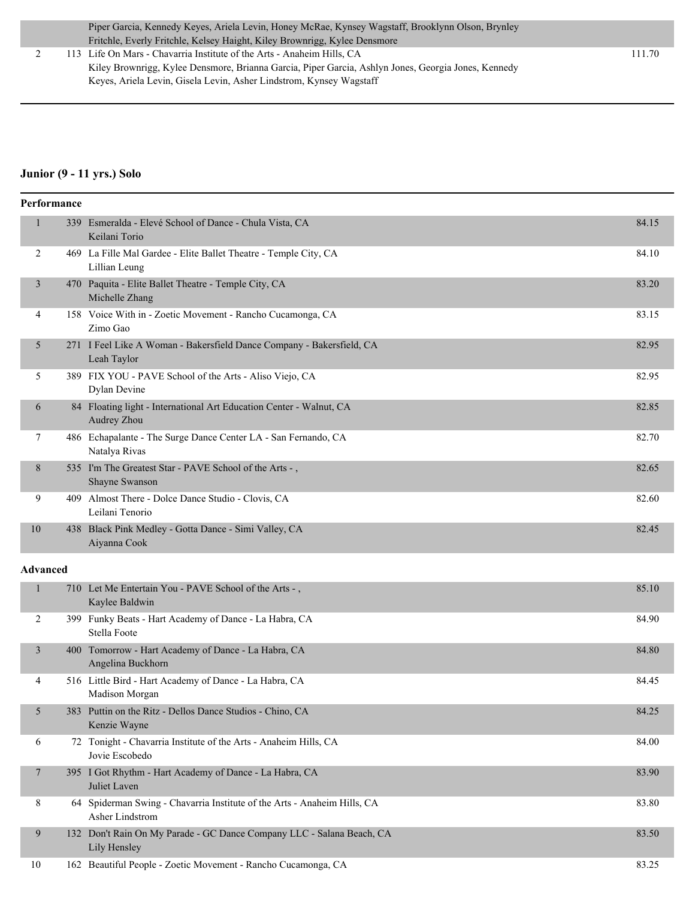2 113 Life On Mars - Chavarria Institute of the Arts - Anaheim Hills, CA 111.70 Kiley Brownrigg, Kylee Densmore, Brianna Garcia, Piper Garcia, Ashlyn Jones, Georgia Jones, Kennedy Keyes, Ariela Levin, Gisela Levin, Asher Lindstrom, Kynsey Wagstaff

#### **Junior (9 - 11 yrs.) Solo**

|                 | Performance |                                                                                             |       |  |  |
|-----------------|-------------|---------------------------------------------------------------------------------------------|-------|--|--|
| $\mathbf{1}$    |             | 339 Esmeralda - Elevé School of Dance - Chula Vista, CA<br>Keilani Torio                    | 84.15 |  |  |
| 2               |             | 469 La Fille Mal Gardee - Elite Ballet Theatre - Temple City, CA<br>Lillian Leung           | 84.10 |  |  |
| 3               |             | 470 Paquita - Elite Ballet Theatre - Temple City, CA<br>Michelle Zhang                      | 83.20 |  |  |
| 4               |             | 158 Voice With in - Zoetic Movement - Rancho Cucamonga, CA<br>Zimo Gao                      | 83.15 |  |  |
| 5               |             | 271 I Feel Like A Woman - Bakersfield Dance Company - Bakersfield, CA<br>Leah Taylor        | 82.95 |  |  |
| 5               |             | 389 FIX YOU - PAVE School of the Arts - Aliso Viejo, CA<br>Dylan Devine                     | 82.95 |  |  |
| 6               |             | 84 Floating light - International Art Education Center - Walnut, CA<br>Audrey Zhou          | 82.85 |  |  |
| 7               |             | 486 Echapalante - The Surge Dance Center LA - San Fernando, CA<br>Natalya Rivas             | 82.70 |  |  |
| 8               |             | 535 I'm The Greatest Star - PAVE School of the Arts -,<br>Shayne Swanson                    | 82.65 |  |  |
| 9               |             | 409 Almost There - Dolce Dance Studio - Clovis, CA<br>Leilani Tenorio                       | 82.60 |  |  |
| 10              |             | 438 Black Pink Medley - Gotta Dance - Simi Valley, CA<br>Aiyanna Cook                       | 82.45 |  |  |
| <b>Advanced</b> |             |                                                                                             |       |  |  |
| $\mathbf{1}$    |             | 710 Let Me Entertain You - PAVE School of the Arts -,<br>Kaylee Baldwin                     | 85.10 |  |  |
| 2               |             | 399 Funky Beats - Hart Academy of Dance - La Habra, CA<br>Stella Foote                      | 84.90 |  |  |
| $\mathfrak{Z}$  |             | 400 Tomorrow - Hart Academy of Dance - La Habra, CA<br>Angelina Buckhorn                    | 84.80 |  |  |
| 4               |             | 516 Little Bird - Hart Academy of Dance - La Habra, CA<br>Madison Morgan                    | 84.45 |  |  |
| 5               |             | 383 Puttin on the Ritz - Dellos Dance Studios - Chino, CA<br>Kenzie Wayne                   | 84.25 |  |  |
| 6               |             | 72 Tonight - Chavarria Institute of the Arts - Anaheim Hills, CA<br>Jovie Escobedo          | 84.00 |  |  |
| 7               |             | 395 I Got Rhythm - Hart Academy of Dance - La Habra, CA<br>Juliet Laven                     | 83.90 |  |  |
| 8               |             | 64 Spiderman Swing - Chavarria Institute of the Arts - Anaheim Hills, CA<br>Asher Lindstrom | 83.80 |  |  |
| 9               |             | 132 Don't Rain On My Parade - GC Dance Company LLC - Salana Beach, CA<br>Lily Hensley       | 83.50 |  |  |
| 10              |             | 162 Beautiful People - Zoetic Movement - Rancho Cucamonga, CA                               | 83.25 |  |  |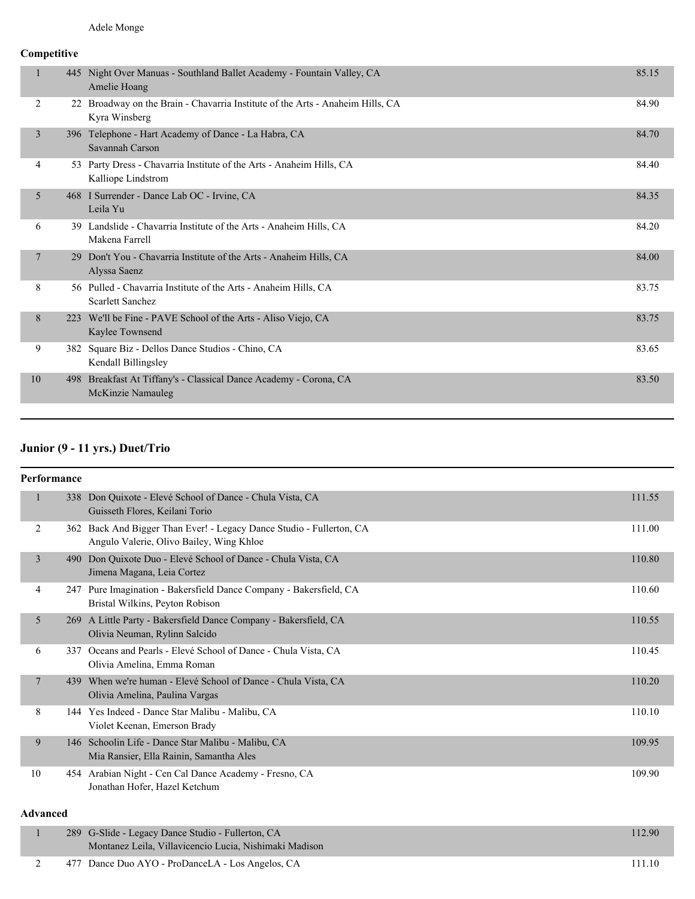#### **Competitive**

|                |     | 445 Night Over Manuas - Southland Ballet Academy - Fountain Valley, CA<br>Amelie Hoang          | 85.15 |
|----------------|-----|-------------------------------------------------------------------------------------------------|-------|
| 2              |     | 22 Broadway on the Brain - Chavarria Institute of the Arts - Anaheim Hills, CA<br>Kyra Winsberg | 84.90 |
| 3              |     | 396 Telephone - Hart Academy of Dance - La Habra, CA<br>Savannah Carson                         | 84.70 |
| 4              |     | 53 Party Dress - Chavarria Institute of the Arts - Anaheim Hills, CA<br>Kalliope Lindstrom      | 84.40 |
| 5              |     | 468 I Surrender - Dance Lab OC - Irvine, CA<br>Leila Yu                                         | 84.35 |
| 6              |     | 39 Landslide - Chavarria Institute of the Arts - Anaheim Hills, CA<br>Makena Farrell            | 84.20 |
| $\overline{7}$ |     | 29 Don't You - Chavarria Institute of the Arts - Anaheim Hills, CA<br>Alyssa Saenz              | 84.00 |
| 8              |     | 56 Pulled - Chavarria Institute of the Arts - Anaheim Hills, CA<br>Scarlett Sanchez             | 83.75 |
| 8              |     | 223 We'll be Fine - PAVE School of the Arts - Aliso Viejo, CA<br>Kaylee Townsend                | 83.75 |
| 9              |     | 382 Square Biz - Dellos Dance Studios - Chino, CA<br>Kendall Billingsley                        | 83.65 |
| 10             | 498 | Breakfast At Tiffany's - Classical Dance Academy - Corona, CA<br>McKinzie Namauleg              | 83.50 |
|                |     |                                                                                                 |       |

### **Junior (9 - 11 yrs.) Duet/Trio**

| Performance  |                 |                                                                                                                  |        |  |  |  |
|--------------|-----------------|------------------------------------------------------------------------------------------------------------------|--------|--|--|--|
| $\mathbf{1}$ |                 | 338 Don Quixote - Elevé School of Dance - Chula Vista, CA<br>Guisseth Flores, Keilani Torio                      | 111.55 |  |  |  |
| 2            |                 | 362 Back And Bigger Than Ever! - Legacy Dance Studio - Fullerton, CA<br>Angulo Valerie, Olivo Bailey, Wing Khloe | 111.00 |  |  |  |
| 3            |                 | 490 Don Quixote Duo - Elevé School of Dance - Chula Vista, CA<br>Jimena Magana, Leia Cortez                      | 110.80 |  |  |  |
| 4            |                 | 247 Pure Imagination - Bakersfield Dance Company - Bakersfield, CA<br>Bristal Wilkins, Peyton Robison            | 110.60 |  |  |  |
| 5            |                 | 269 A Little Party - Bakersfield Dance Company - Bakersfield, CA<br>Olivia Neuman, Rylinn Salcido                | 110.55 |  |  |  |
| 6            | 337             | Oceans and Pearls - Elevé School of Dance - Chula Vista, CA<br>Olivia Amelina, Emma Roman                        | 110.45 |  |  |  |
| 7            |                 | 439 When we're human - Elevé School of Dance - Chula Vista, CA<br>Olivia Amelina, Paulina Vargas                 | 110.20 |  |  |  |
| 8            |                 | 144 Yes Indeed - Dance Star Malibu - Malibu, CA<br>Violet Keenan, Emerson Brady                                  | 110.10 |  |  |  |
| 9            |                 | 146 Schoolin Life - Dance Star Malibu - Malibu, CA<br>Mia Ransier, Ella Rainin, Samantha Ales                    | 109.95 |  |  |  |
| 10           |                 | 454 Arabian Night - Cen Cal Dance Academy - Fresno, CA<br>Jonathan Hofer, Hazel Ketchum                          | 109.90 |  |  |  |
|              | <b>Advanced</b> |                                                                                                                  |        |  |  |  |

# 1 289 G-Slide - Legacy Dance Studio - Fullerton, CA 112.90 Montanez Leila, Villavicencio Lucia, Nishimaki Madison 2 477 Dance Duo AYO - ProDanceLA - Los Angelos, CA 111.10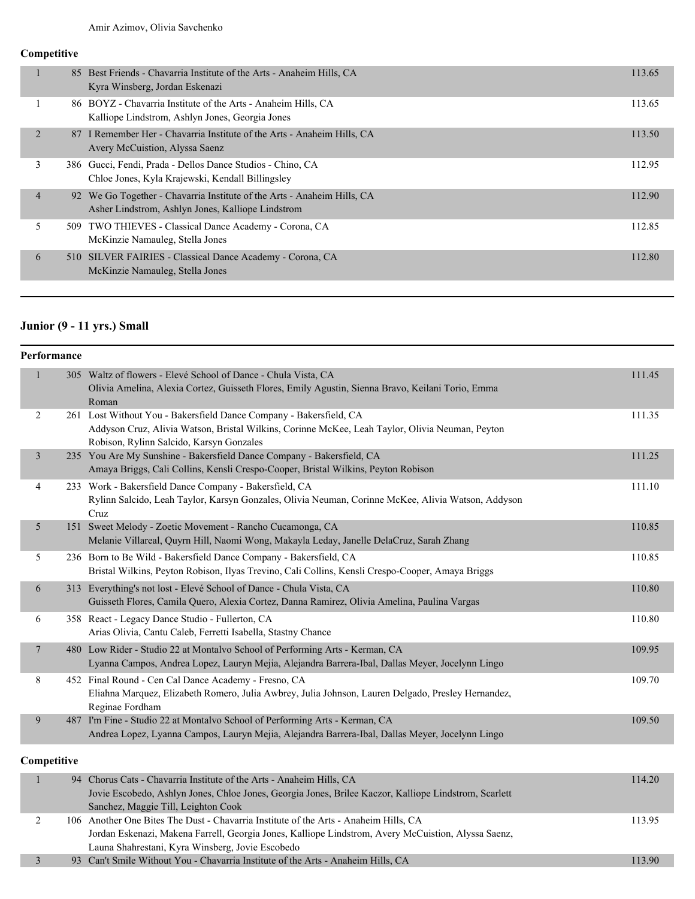#### **Competitive**

| 85 Best Friends - Chavarria Institute of the Arts - Anaheim Hills, CA<br>Kyra Winsberg, Jordan Eskenazi                                        | 113.65 |
|------------------------------------------------------------------------------------------------------------------------------------------------|--------|
| 86 BOYZ - Chavarria Institute of the Arts - Anaheim Hills, CA<br>Kalliope Lindstrom, Ashlyn Jones, Georgia Jones                               | 113.65 |
| 2<br>87 I Remember Her - Chavarria Institute of the Arts - Anaheim Hills, CA<br>Avery McCuistion, Alyssa Saenz                                 | 113.50 |
| 3<br>386 Gucci, Fendi, Prada - Dellos Dance Studios - Chino, CA<br>Chloe Jones, Kyla Krajewski, Kendall Billingsley                            | 112.95 |
| $\overline{4}$<br>92 We Go Together - Chavarria Institute of the Arts - Anaheim Hills, CA<br>Asher Lindstrom, Ashlyn Jones, Kalliope Lindstrom | 112.90 |
| 5<br>TWO THIEVES - Classical Dance Academy - Corona, CA<br>509<br>McKinzie Namauleg, Stella Jones                                              | 112.85 |
| 6<br>510 SILVER FAIRIES - Classical Dance Academy - Corona, CA<br>McKinzie Namauleg, Stella Jones                                              | 112.80 |

# **Junior (9 - 11 yrs.) Small**

| Performance    |                                                                                                                                                                                                                                                 |        |
|----------------|-------------------------------------------------------------------------------------------------------------------------------------------------------------------------------------------------------------------------------------------------|--------|
| $\mathbf{1}$   | 305 Waltz of flowers - Elevé School of Dance - Chula Vista, CA<br>Olivia Amelina, Alexia Cortez, Guisseth Flores, Emily Agustin, Sienna Bravo, Keilani Torio, Emma<br>Roman                                                                     | 111.45 |
| 2              | 261 Lost Without You - Bakersfield Dance Company - Bakersfield, CA<br>Addyson Cruz, Alivia Watson, Bristal Wilkins, Corinne McKee, Leah Taylor, Olivia Neuman, Peyton<br>Robison, Rylinn Salcido, Karsyn Gonzales                               | 111.35 |
| $\mathfrak{Z}$ | 235 You Are My Sunshine - Bakersfield Dance Company - Bakersfield, CA<br>Amaya Briggs, Cali Collins, Kensli Crespo-Cooper, Bristal Wilkins, Peyton Robison                                                                                      | 111.25 |
| 4              | 233 Work - Bakersfield Dance Company - Bakersfield, CA<br>Rylinn Salcido, Leah Taylor, Karsyn Gonzales, Olivia Neuman, Corinne McKee, Alivia Watson, Addyson<br>Cruz                                                                            | 111.10 |
| 5              | 151 Sweet Melody - Zoetic Movement - Rancho Cucamonga, CA<br>Melanie Villareal, Quyrn Hill, Naomi Wong, Makayla Leday, Janelle DelaCruz, Sarah Zhang                                                                                            | 110.85 |
| 5              | 236 Born to Be Wild - Bakersfield Dance Company - Bakersfield, CA<br>Bristal Wilkins, Peyton Robison, Ilyas Trevino, Cali Collins, Kensli Crespo-Cooper, Amaya Briggs                                                                           | 110.85 |
| 6              | 313 Everything's not lost - Elevé School of Dance - Chula Vista, CA<br>Guisseth Flores, Camila Quero, Alexia Cortez, Danna Ramirez, Olivia Amelina, Paulina Vargas                                                                              | 110.80 |
| 6              | 358 React - Legacy Dance Studio - Fullerton, CA<br>Arias Olivia, Cantu Caleb, Ferretti Isabella, Stastny Chance                                                                                                                                 | 110.80 |
| 7              | 480 Low Rider - Studio 22 at Montalvo School of Performing Arts - Kerman, CA<br>Lyanna Campos, Andrea Lopez, Lauryn Mejia, Alejandra Barrera-Ibal, Dallas Meyer, Jocelynn Lingo                                                                 | 109.95 |
| 8              | 452 Final Round - Cen Cal Dance Academy - Fresno, CA<br>Eliahna Marquez, Elizabeth Romero, Julia Awbrey, Julia Johnson, Lauren Delgado, Presley Hernandez,<br>Reginae Fordham                                                                   | 109.70 |
| 9              | 487 I'm Fine - Studio 22 at Montalvo School of Performing Arts - Kerman, CA<br>Andrea Lopez, Lyanna Campos, Lauryn Mejia, Alejandra Barrera-Ibal, Dallas Meyer, Jocelynn Lingo                                                                  | 109.50 |
| Competitive    |                                                                                                                                                                                                                                                 |        |
| 1              | 94 Chorus Cats - Chavarria Institute of the Arts - Anaheim Hills, CA<br>Jovie Escobedo, Ashlyn Jones, Chloe Jones, Georgia Jones, Brilee Kaczor, Kalliope Lindstrom, Scarlett<br>Sanchez, Maggie Till, Leighton Cook                            | 114.20 |
| 2              | 106 Another One Bites The Dust - Chavarria Institute of the Arts - Anaheim Hills, CA<br>Jordan Eskenazi, Makena Farrell, Georgia Jones, Kalliope Lindstrom, Avery McCuistion, Alyssa Saenz,<br>Launa Shahrestani, Kyra Winsberg, Jovie Escobedo | 113.95 |
| 3              | 93 Can't Smile Without You - Chavarria Institute of the Arts - Anaheim Hills, CA                                                                                                                                                                | 113.90 |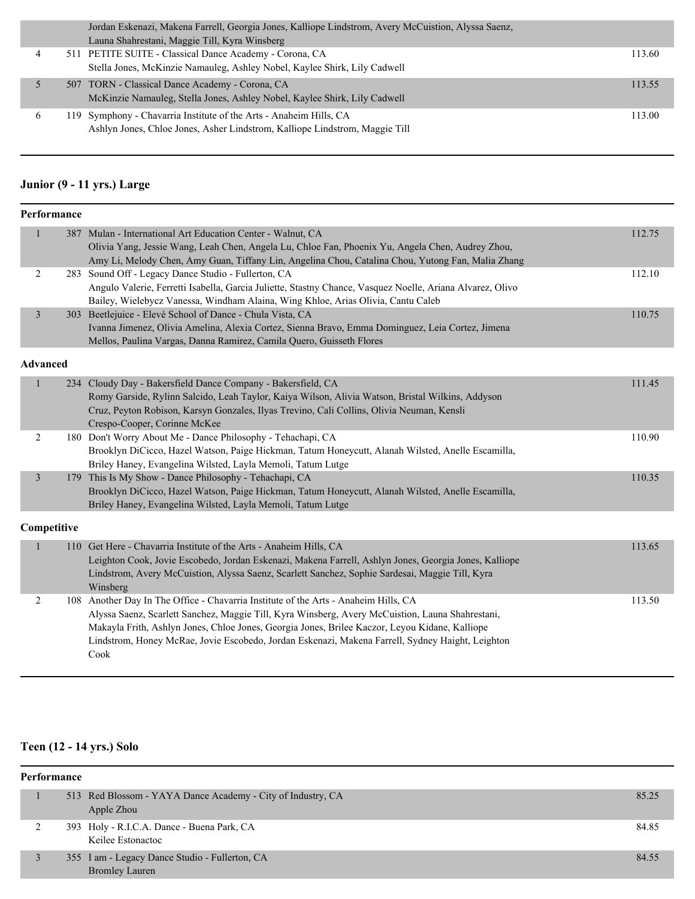|              |  | Jordan Eskenazi, Makena Farrell, Georgia Jones, Kalliope Lindstrom, Avery McCuistion, Alyssa Saenz, |        |
|--------------|--|-----------------------------------------------------------------------------------------------------|--------|
|              |  | Launa Shahrestani, Maggie Till, Kyra Winsberg                                                       |        |
|              |  | 511 PETITE SUITE - Classical Dance Academy - Corona, CA                                             | 113.60 |
|              |  | Stella Jones, McKinzie Namauleg, Ashley Nobel, Kaylee Shirk, Lily Cadwell                           |        |
|              |  | 507 TORN - Classical Dance Academy - Corona, CA                                                     | 113.55 |
|              |  | McKinzie Namauleg, Stella Jones, Ashley Nobel, Kaylee Shirk, Lily Cadwell                           |        |
| <sub>0</sub> |  | 119 Symphony - Chavarria Institute of the Arts - Anaheim Hills, CA                                  | 113.00 |
|              |  | Ashlyn Jones, Chloe Jones, Asher Lindstrom, Kalliope Lindstrom, Maggie Till                         |        |
|              |  |                                                                                                     |        |

# **Junior (9 - 11 yrs.) Large**

| Performance     |                                                                                                                                                                                                                                                                                                                                                                                                       |        |
|-----------------|-------------------------------------------------------------------------------------------------------------------------------------------------------------------------------------------------------------------------------------------------------------------------------------------------------------------------------------------------------------------------------------------------------|--------|
| $\mathbf{1}$    | 387 Mulan - International Art Education Center - Walnut, CA<br>Olivia Yang, Jessie Wang, Leah Chen, Angela Lu, Chloe Fan, Phoenix Yu, Angela Chen, Audrey Zhou,<br>Amy Li, Melody Chen, Amy Guan, Tiffany Lin, Angelina Chou, Catalina Chou, Yutong Fan, Malia Zhang                                                                                                                                  | 112.75 |
| 2               | 283 Sound Off - Legacy Dance Studio - Fullerton, CA<br>Angulo Valerie, Ferretti Isabella, Garcia Juliette, Stastny Chance, Vasquez Noelle, Ariana Alvarez, Olivo<br>Bailey, Wielebycz Vanessa, Windham Alaina, Wing Khloe, Arias Olivia, Cantu Caleb                                                                                                                                                  | 112.10 |
| $\mathfrak{Z}$  | 303 Beetlejuice - Elevé School of Dance - Chula Vista, CA<br>Ivanna Jimenez, Olivia Amelina, Alexia Cortez, Sienna Bravo, Emma Dominguez, Leia Cortez, Jimena<br>Mellos, Paulina Vargas, Danna Ramirez, Camila Quero, Guisseth Flores                                                                                                                                                                 | 110.75 |
| <b>Advanced</b> |                                                                                                                                                                                                                                                                                                                                                                                                       |        |
| $\mathbf{1}$    | 234 Cloudy Day - Bakersfield Dance Company - Bakersfield, CA<br>Romy Garside, Rylinn Salcido, Leah Taylor, Kaiya Wilson, Alivia Watson, Bristal Wilkins, Addyson<br>Cruz, Peyton Robison, Karsyn Gonzales, Ilyas Trevino, Cali Collins, Olivia Neuman, Kensli<br>Crespo-Cooper, Corinne McKee                                                                                                         | 111.45 |
| $\overline{2}$  | 180 Don't Worry About Me - Dance Philosophy - Tehachapi, CA<br>Brooklyn DiCicco, Hazel Watson, Paige Hickman, Tatum Honeycutt, Alanah Wilsted, Anelle Escamilla,<br>Briley Haney, Evangelina Wilsted, Layla Memoli, Tatum Lutge                                                                                                                                                                       | 110.90 |
| $\overline{3}$  | 179 This Is My Show - Dance Philosophy - Tehachapi, CA<br>Brooklyn DiCicco, Hazel Watson, Paige Hickman, Tatum Honeycutt, Alanah Wilsted, Anelle Escamilla,<br>Briley Haney, Evangelina Wilsted, Layla Memoli, Tatum Lutge                                                                                                                                                                            | 110.35 |
| Competitive     |                                                                                                                                                                                                                                                                                                                                                                                                       |        |
| $\mathbf{1}$    | 110 Get Here - Chavarria Institute of the Arts - Anaheim Hills, CA<br>Leighton Cook, Jovie Escobedo, Jordan Eskenazi, Makena Farrell, Ashlyn Jones, Georgia Jones, Kalliope<br>Lindstrom, Avery McCuistion, Alyssa Saenz, Scarlett Sanchez, Sophie Sardesai, Maggie Till, Kyra<br>Winsberg                                                                                                            | 113.65 |
| $\overline{c}$  | 108 Another Day In The Office - Chavarria Institute of the Arts - Anaheim Hills, CA<br>Alyssa Saenz, Scarlett Sanchez, Maggie Till, Kyra Winsberg, Avery McCuistion, Launa Shahrestani,<br>Makayla Frith, Ashlyn Jones, Chloe Jones, Georgia Jones, Brilee Kaczor, Leyou Kidane, Kalliope<br>Lindstrom, Honey McRae, Jovie Escobedo, Jordan Eskenazi, Makena Farrell, Sydney Haight, Leighton<br>Cook | 113.50 |

### **Teen (12 - 14 yrs.) Solo**

| Performance |  |                                                                           |       |  |
|-------------|--|---------------------------------------------------------------------------|-------|--|
|             |  | 513 Red Blossom - YAYA Dance Academy - City of Industry, CA<br>Apple Zhou | 85.25 |  |
|             |  | 393 Holy - R.I.C.A. Dance - Buena Park, CA<br>Keilee Estonactoc           | 84.85 |  |
|             |  | 355 I am - Legacy Dance Studio - Fullerton, CA<br><b>Bromley Lauren</b>   | 84.55 |  |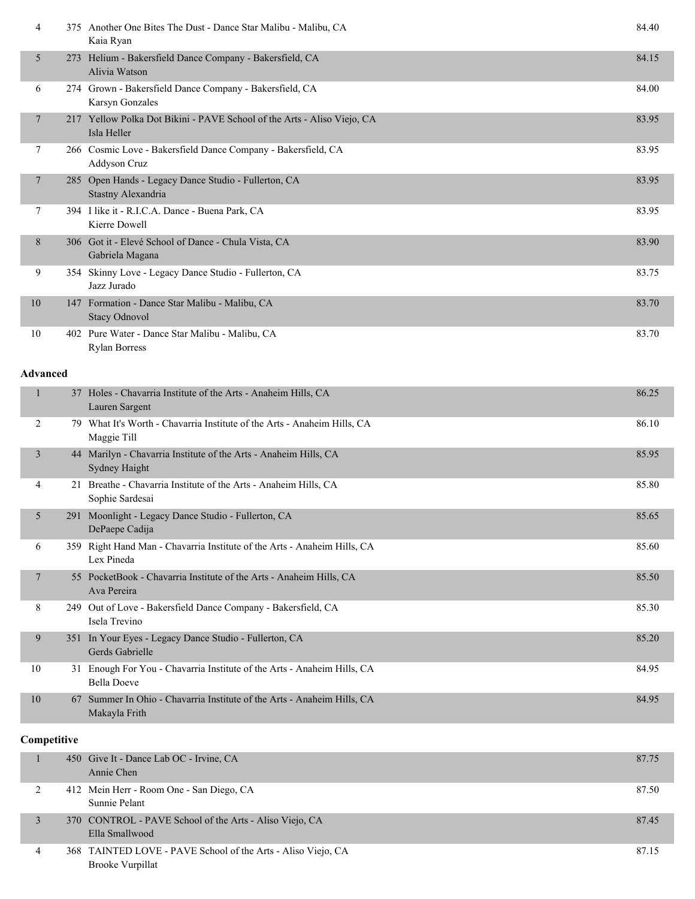| 4               | 375 Another One Bites The Dust - Dance Star Malibu - Malibu, CA<br>Kaia Ryan            | 84.40 |
|-----------------|-----------------------------------------------------------------------------------------|-------|
| 5               | 273 Helium - Bakersfield Dance Company - Bakersfield, CA<br>Alivia Watson               | 84.15 |
| 6               | 274 Grown - Bakersfield Dance Company - Bakersfield, CA<br>Karsyn Gonzales              | 84.00 |
| $\overline{7}$  | 217 Yellow Polka Dot Bikini - PAVE School of the Arts - Aliso Viejo, CA<br>Isla Heller  | 83.95 |
| 7               | 266 Cosmic Love - Bakersfield Dance Company - Bakersfield, CA<br>Addyson Cruz           | 83.95 |
| $\overline{7}$  | 285 Open Hands - Legacy Dance Studio - Fullerton, CA<br>Stastny Alexandria              | 83.95 |
| 7               | 394 I like it - R.I.C.A. Dance - Buena Park, CA<br>Kierre Dowell                        | 83.95 |
| 8               | 306 Got it - Elevé School of Dance - Chula Vista, CA<br>Gabriela Magana                 | 83.90 |
| 9               | 354 Skinny Love - Legacy Dance Studio - Fullerton, CA<br>Jazz Jurado                    | 83.75 |
| 10              | 147 Formation - Dance Star Malibu - Malibu, CA<br><b>Stacy Odnovol</b>                  | 83.70 |
| 10              | 402 Pure Water - Dance Star Malibu - Malibu, CA<br><b>Rylan Borress</b>                 | 83.70 |
| <b>Advanced</b> |                                                                                         |       |
| $\mathbf{1}$    | 37 Holes - Chavarria Institute of the Arts - Anaheim Hills, CA<br>Lauren Sargent        | 86.25 |
| 2               | 79 What It's Worth - Chavarria Institute of the Arts - Anaheim Hills, CA<br>Maggie Till | 86.10 |
| $\overline{3}$  | 44 Marilyn - Chavarria Institute of the Arts - Anaheim Hills, CA<br>Sydney Haight       | 85.95 |
|                 |                                                                                         |       |

| 4              |     | 21 Breathe - Chavarria Institute of the Arts - Anaheim Hills, CA<br>Sophie Sardesai           | 85.80 |
|----------------|-----|-----------------------------------------------------------------------------------------------|-------|
| 5 <sup>1</sup> | 291 | Moonlight - Legacy Dance Studio - Fullerton, CA<br>DePaepe Cadija                             | 85.65 |
| 6              |     | 359 Right Hand Man - Chavarria Institute of the Arts - Anaheim Hills, CA<br>Lex Pineda        | 85.60 |
| 7              |     | 55 PocketBook - Chavarria Institute of the Arts - Anaheim Hills, CA<br>Ava Pereira            | 85.50 |
| 8              |     | 249 Out of Love - Bakersfield Dance Company - Bakersfield, CA<br>Isela Trevino                | 85.30 |
| 9              |     | 351 In Your Eyes - Legacy Dance Studio - Fullerton, CA<br>Gerds Gabrielle                     | 85.20 |
| 10             |     | 31 Enough For You - Chavarria Institute of the Arts - Anaheim Hills, CA<br><b>Bella Doeve</b> | 84.95 |
| 10             |     | 67 Summer In Ohio - Chavarria Institute of the Arts - Anaheim Hills, CA<br>Makayla Frith      | 84.95 |

### **Competitive**

|   | 450 Give It - Dance Lab OC - Irvine, CA<br>Annie Chen                                   | 87.75 |
|---|-----------------------------------------------------------------------------------------|-------|
|   | 412 Mein Herr - Room One - San Diego, CA<br>Sunnie Pelant                               | 87.50 |
|   | 370 CONTROL - PAVE School of the Arts - Aliso Viejo, CA<br>Ella Smallwood               | 87.45 |
| 4 | 368 TAINTED LOVE - PAVE School of the Arts - Aliso Viejo, CA<br><b>Brooke Vurpillat</b> | 87.15 |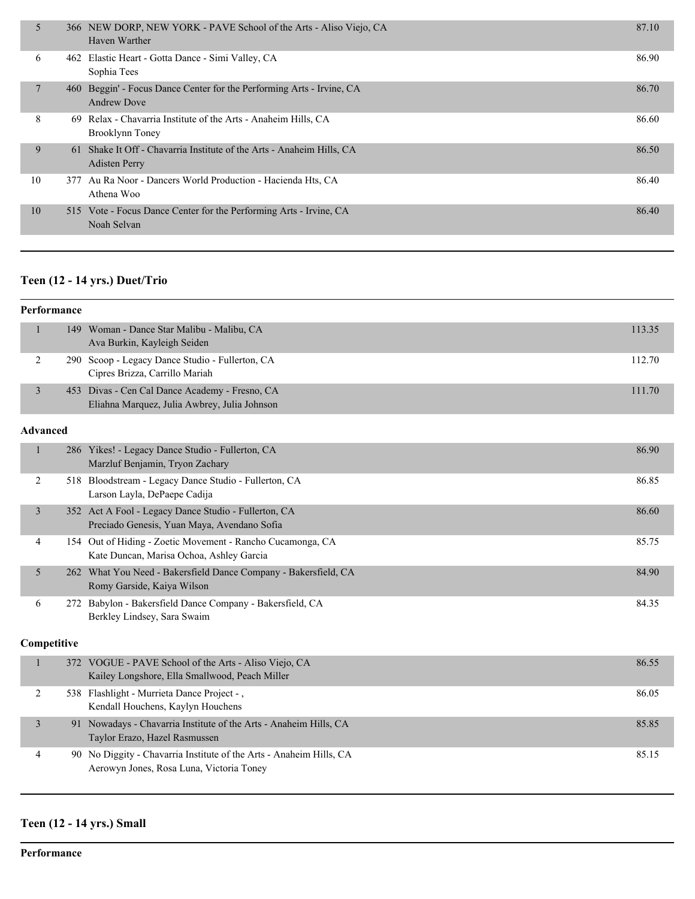| 5  |     | 366 NEW DORP, NEW YORK - PAVE School of the Arts - Aliso Viejo, CA<br>Haven Warther           | 87.10 |
|----|-----|-----------------------------------------------------------------------------------------------|-------|
| 6  |     | 462 Elastic Heart - Gotta Dance - Simi Valley, CA<br>Sophia Tees                              | 86.90 |
|    | 460 | Beggin' - Focus Dance Center for the Performing Arts - Irvine, CA<br><b>Andrew Dove</b>       | 86.70 |
| 8  | -69 | Relax - Chavarria Institute of the Arts - Anaheim Hills, CA<br>Brooklynn Toney                | 86.60 |
| 9  |     | 61 Shake It Off - Chavarria Institute of the Arts - Anaheim Hills, CA<br><b>Adisten Perry</b> | 86.50 |
| 10 |     | 377 Au Ra Noor - Dancers World Production - Hacienda Hts, CA<br>Athena Woo                    | 86.40 |
| 10 |     | 515 Vote - Focus Dance Center for the Performing Arts - Irvine, CA<br>Noah Selvan             | 86.40 |

### **Teen (12 - 14 yrs.) Duet/Trio**

#### **Performance**

| 149 Woman - Dance Star Malibu - Malibu, CA      | 113.35 |
|-------------------------------------------------|--------|
| Ava Burkin, Kayleigh Seiden                     |        |
| 290 Scoop - Legacy Dance Studio - Fullerton, CA | 112.70 |
| Cipres Brizza, Carrillo Mariah                  |        |
| 453 Divas - Cen Cal Dance Academy - Fresno, CA  | 111.70 |
| Eliahna Marquez, Julia Awbrey, Julia Johnson    |        |

#### **Advanced**

|   | 286 Yikes! - Legacy Dance Studio - Fullerton, CA<br>Marzluf Benjamin, Tryon Zachary                    | 86.90 |
|---|--------------------------------------------------------------------------------------------------------|-------|
|   | 518 Bloodstream - Legacy Dance Studio - Fullerton, CA<br>Larson Layla, DePaepe Cadija                  | 86.85 |
| 3 | 352 Act A Fool - Legacy Dance Studio - Fullerton, CA<br>Preciado Genesis, Yuan Maya, Avendano Sofia    | 86.60 |
| 4 | 154 Out of Hiding - Zoetic Movement - Rancho Cucamonga, CA<br>Kate Duncan, Marisa Ochoa, Ashley Garcia | 85.75 |
| 5 | 262 What You Need - Bakersfield Dance Company - Bakersfield, CA<br>Romy Garside, Kaiya Wilson          | 84.90 |
| 6 | 272 Babylon - Bakersfield Dance Company - Bakersfield, CA<br>Berkley Lindsey, Sara Swaim               | 84.35 |

#### **Competitive**

| 372 VOGUE - PAVE School of the Arts - Aliso Viejo, CA<br>Kailey Longshore, Ella Smallwood, Peach Miller         | 86.55 |
|-----------------------------------------------------------------------------------------------------------------|-------|
| 538 Flashlight - Murrieta Dance Project -,<br>Kendall Houchens, Kaylyn Houchens                                 | 86.05 |
| 91 Nowadays - Chavarria Institute of the Arts - Anaheim Hills, CA<br>Taylor Erazo, Hazel Rasmussen              | 85.85 |
| 90 No Diggity - Chavarria Institute of the Arts - Anaheim Hills, CA<br>Aerowyn Jones, Rosa Luna, Victoria Toney | 85.15 |

### **Teen (12 - 14 yrs.) Small**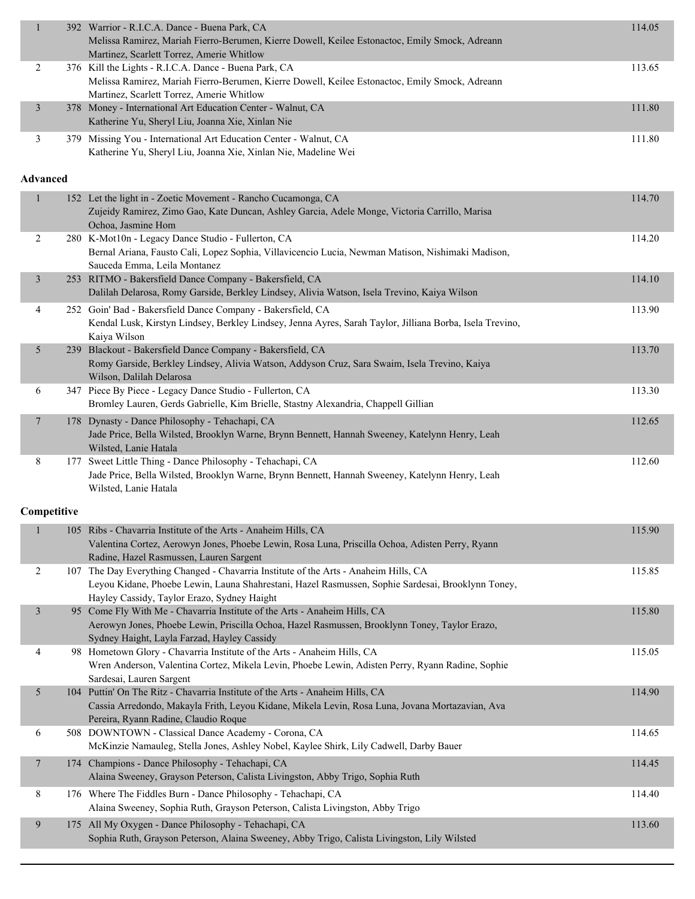| $\mathbf{1}$    | 392 Warrior - R.I.C.A. Dance - Buena Park, CA<br>Melissa Ramirez, Mariah Fierro-Berumen, Kierre Dowell, Keilee Estonactoc, Emily Smock, Adreann<br>Martinez, Scarlett Torrez, Amerie Whitlow                                             | 114.05 |
|-----------------|------------------------------------------------------------------------------------------------------------------------------------------------------------------------------------------------------------------------------------------|--------|
| $\overline{2}$  | 376 Kill the Lights - R.I.C.A. Dance - Buena Park, CA<br>Melissa Ramirez, Mariah Fierro-Berumen, Kierre Dowell, Keilee Estonactoc, Emily Smock, Adreann<br>Martinez, Scarlett Torrez, Amerie Whitlow                                     | 113.65 |
| $\mathfrak{Z}$  | 378 Money - International Art Education Center - Walnut, CA<br>Katherine Yu, Sheryl Liu, Joanna Xie, Xinlan Nie                                                                                                                          | 111.80 |
| 3               | 379 Missing You - International Art Education Center - Walnut, CA<br>Katherine Yu, Sheryl Liu, Joanna Xie, Xinlan Nie, Madeline Wei                                                                                                      | 111.80 |
| <b>Advanced</b> |                                                                                                                                                                                                                                          |        |
| $\mathbf{1}$    | 152 Let the light in - Zoetic Movement - Rancho Cucamonga, CA<br>Zujeidy Ramirez, Zimo Gao, Kate Duncan, Ashley Garcia, Adele Monge, Victoria Carrillo, Marisa<br>Ochoa, Jasmine Hom                                                     | 114.70 |
| 2               | 280 K-Mot10n - Legacy Dance Studio - Fullerton, CA<br>Bernal Ariana, Fausto Cali, Lopez Sophia, Villavicencio Lucia, Newman Matison, Nishimaki Madison,<br>Sauceda Emma, Leila Montanez                                                  | 114.20 |
| $\mathfrak{Z}$  | 253 RITMO - Bakersfield Dance Company - Bakersfield, CA<br>Dalilah Delarosa, Romy Garside, Berkley Lindsey, Alivia Watson, Isela Trevino, Kaiya Wilson                                                                                   | 114.10 |
| 4               | 252 Goin' Bad - Bakersfield Dance Company - Bakersfield, CA<br>Kendal Lusk, Kirstyn Lindsey, Berkley Lindsey, Jenna Ayres, Sarah Taylor, Jilliana Borba, Isela Trevino,<br>Kaiya Wilson                                                  | 113.90 |
| 5               | 239 Blackout - Bakersfield Dance Company - Bakersfield, CA<br>Romy Garside, Berkley Lindsey, Alivia Watson, Addyson Cruz, Sara Swaim, Isela Trevino, Kaiya<br>Wilson, Dalilah Delarosa                                                   | 113.70 |
| 6               | 347 Piece By Piece - Legacy Dance Studio - Fullerton, CA<br>Bromley Lauren, Gerds Gabrielle, Kim Brielle, Stastny Alexandria, Chappell Gillian                                                                                           | 113.30 |
| 7               | 178 Dynasty - Dance Philosophy - Tehachapi, CA<br>Jade Price, Bella Wilsted, Brooklyn Warne, Brynn Bennett, Hannah Sweeney, Katelynn Henry, Leah<br>Wilsted, Lanie Hatala                                                                | 112.65 |
| 8               | 177 Sweet Little Thing - Dance Philosophy - Tehachapi, CA<br>Jade Price, Bella Wilsted, Brooklyn Warne, Brynn Bennett, Hannah Sweeney, Katelynn Henry, Leah<br>Wilsted, Lanie Hatala                                                     | 112.60 |
| Competitive     |                                                                                                                                                                                                                                          |        |
| $\mathbf{I}$    | 105 Ribs - Chavarria Institute of the Arts - Anaheim Hills, CA<br>Valentina Cortez, Aerowyn Jones, Phoebe Lewin, Rosa Luna, Priscilla Ochoa, Adisten Perry, Ryann<br>Radine, Hazel Rasmussen, Lauren Sargent                             | 115.90 |
| $\overline{2}$  | 107 The Day Everything Changed - Chavarria Institute of the Arts - Anaheim Hills, CA<br>Leyou Kidane, Phoebe Lewin, Launa Shahrestani, Hazel Rasmussen, Sophie Sardesai, Brooklynn Toney,<br>Hayley Cassidy, Taylor Erazo, Sydney Haight | 115.85 |
| $\mathfrak{Z}$  | 95 Come Fly With Me - Chavarria Institute of the Arts - Anaheim Hills, CA<br>Aerowyn Jones, Phoebe Lewin, Priscilla Ochoa, Hazel Rasmussen, Brooklynn Toney, Taylor Erazo,<br>Sydney Haight, Layla Farzad, Hayley Cassidy                | 115.80 |
| 4               | 98 Hometown Glory - Chavarria Institute of the Arts - Anaheim Hills, CA<br>Wren Anderson, Valentina Cortez, Mikela Levin, Phoebe Lewin, Adisten Perry, Ryann Radine, Sophie<br>Sardesai, Lauren Sargent                                  | 115.05 |
| 5               | 104 Puttin' On The Ritz - Chavarria Institute of the Arts - Anaheim Hills, CA<br>Cassia Arredondo, Makayla Frith, Leyou Kidane, Mikela Levin, Rosa Luna, Jovana Mortazavian, Ava<br>Pereira, Ryann Radine, Claudio Roque                 | 114.90 |
| 6               | 508 DOWNTOWN - Classical Dance Academy - Corona, CA<br>McKinzie Namauleg, Stella Jones, Ashley Nobel, Kaylee Shirk, Lily Cadwell, Darby Bauer                                                                                            | 114.65 |
| $\overline{7}$  | 174 Champions - Dance Philosophy - Tehachapi, CA<br>Alaina Sweeney, Grayson Peterson, Calista Livingston, Abby Trigo, Sophia Ruth                                                                                                        | 114.45 |
| 8               | 176 Where The Fiddles Burn - Dance Philosophy - Tehachapi, CA<br>Alaina Sweeney, Sophia Ruth, Grayson Peterson, Calista Livingston, Abby Trigo                                                                                           | 114.40 |
| 9               | 175 All My Oxygen - Dance Philosophy - Tehachapi, CA<br>Sophia Ruth, Grayson Peterson, Alaina Sweeney, Abby Trigo, Calista Livingston, Lily Wilsted                                                                                      | 113.60 |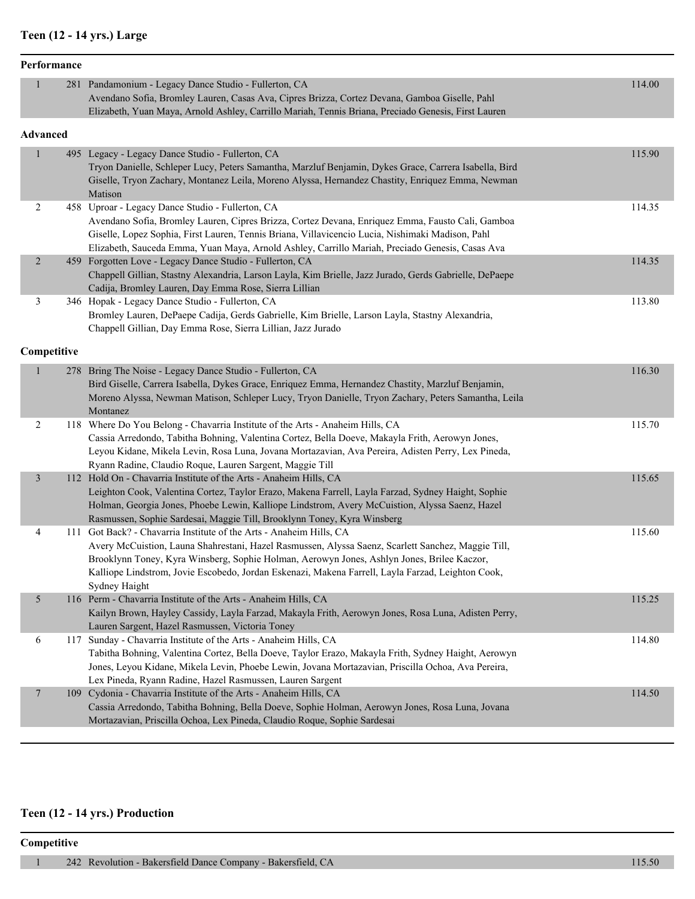# **Teen (12 - 14 yrs.) Large**

|                | Performance |                                                                                                                                                                                                                                                                                                                                                                                               |        |
|----------------|-------------|-----------------------------------------------------------------------------------------------------------------------------------------------------------------------------------------------------------------------------------------------------------------------------------------------------------------------------------------------------------------------------------------------|--------|
| $\mathbf{1}$   |             | 281 Pandamonium - Legacy Dance Studio - Fullerton, CA<br>Avendano Sofia, Bromley Lauren, Casas Ava, Cipres Brizza, Cortez Devana, Gamboa Giselle, Pahl<br>Elizabeth, Yuan Maya, Arnold Ashley, Carrillo Mariah, Tennis Briana, Preciado Genesis, First Lauren                                                                                                                                 | 114.00 |
| Advanced       |             |                                                                                                                                                                                                                                                                                                                                                                                               |        |
| $\mathbf{1}$   |             | 495 Legacy - Legacy Dance Studio - Fullerton, CA<br>Tryon Danielle, Schleper Lucy, Peters Samantha, Marzluf Benjamin, Dykes Grace, Carrera Isabella, Bird<br>Giselle, Tryon Zachary, Montanez Leila, Moreno Alyssa, Hernandez Chastity, Enriquez Emma, Newman<br>Matison                                                                                                                      | 115.90 |
| 2              |             | 458 Uproar - Legacy Dance Studio - Fullerton, CA<br>Avendano Sofia, Bromley Lauren, Cipres Brizza, Cortez Devana, Enriquez Emma, Fausto Cali, Gamboa<br>Giselle, Lopez Sophia, First Lauren, Tennis Briana, Villavicencio Lucia, Nishimaki Madison, Pahl<br>Elizabeth, Sauceda Emma, Yuan Maya, Arnold Ashley, Carrillo Mariah, Preciado Genesis, Casas Ava                                   | 114.35 |
| $\overline{2}$ |             | 459 Forgotten Love - Legacy Dance Studio - Fullerton, CA<br>Chappell Gillian, Stastny Alexandria, Larson Layla, Kim Brielle, Jazz Jurado, Gerds Gabrielle, DePaepe<br>Cadija, Bromley Lauren, Day Emma Rose, Sierra Lillian                                                                                                                                                                   | 114.35 |
| 3              |             | 346 Hopak - Legacy Dance Studio - Fullerton, CA<br>Bromley Lauren, DePaepe Cadija, Gerds Gabrielle, Kim Brielle, Larson Layla, Stastny Alexandria,<br>Chappell Gillian, Day Emma Rose, Sierra Lillian, Jazz Jurado                                                                                                                                                                            | 113.80 |
|                | Competitive |                                                                                                                                                                                                                                                                                                                                                                                               |        |
| $\mathbf{1}$   |             | 278 Bring The Noise - Legacy Dance Studio - Fullerton, CA<br>Bird Giselle, Carrera Isabella, Dykes Grace, Enriquez Emma, Hernandez Chastity, Marzluf Benjamin,<br>Moreno Alyssa, Newman Matison, Schleper Lucy, Tryon Danielle, Tryon Zachary, Peters Samantha, Leila<br>Montanez                                                                                                             | 116.30 |
| $\overline{2}$ |             | 118 Where Do You Belong - Chavarria Institute of the Arts - Anaheim Hills, CA<br>Cassia Arredondo, Tabitha Bohning, Valentina Cortez, Bella Doeve, Makayla Frith, Aerowyn Jones,<br>Leyou Kidane, Mikela Levin, Rosa Luna, Jovana Mortazavian, Ava Pereira, Adisten Perry, Lex Pineda,<br>Ryann Radine, Claudio Roque, Lauren Sargent, Maggie Till                                            | 115.70 |
| $\mathfrak{Z}$ |             | 112 Hold On - Chavarria Institute of the Arts - Anaheim Hills, CA<br>Leighton Cook, Valentina Cortez, Taylor Erazo, Makena Farrell, Layla Farzad, Sydney Haight, Sophie<br>Holman, Georgia Jones, Phoebe Lewin, Kalliope Lindstrom, Avery McCuistion, Alyssa Saenz, Hazel<br>Rasmussen, Sophie Sardesai, Maggie Till, Brooklynn Toney, Kyra Winsberg                                          | 115.65 |
| 4              |             | 111 Got Back? - Chavarria Institute of the Arts - Anaheim Hills, CA<br>Avery McCuistion, Launa Shahrestani, Hazel Rasmussen, Alyssa Saenz, Scarlett Sanchez, Maggie Till,<br>Brooklynn Toney, Kyra Winsberg, Sophie Holman, Aerowyn Jones, Ashlyn Jones, Brilee Kaczor,<br>Kalliope Lindstrom, Jovie Escobedo, Jordan Eskenazi, Makena Farrell, Layla Farzad, Leighton Cook,<br>Sydney Haight | 115.60 |
| $\mathfrak{S}$ |             | 116 Perm - Chavarria Institute of the Arts - Anaheim Hills, CA<br>Kailyn Brown, Hayley Cassidy, Layla Farzad, Makayla Frith, Aerowyn Jones, Rosa Luna, Adisten Perry,<br>Lauren Sargent, Hazel Rasmussen, Victoria Toney                                                                                                                                                                      | 115.25 |
| 6              |             | 117 Sunday - Chavarria Institute of the Arts - Anaheim Hills, CA<br>Tabitha Bohning, Valentina Cortez, Bella Doeve, Taylor Erazo, Makayla Frith, Sydney Haight, Aerowyn<br>Jones, Leyou Kidane, Mikela Levin, Phoebe Lewin, Jovana Mortazavian, Priscilla Ochoa, Ava Pereira,<br>Lex Pineda, Ryann Radine, Hazel Rasmussen, Lauren Sargent                                                    | 114.80 |
| $\overline{7}$ |             | 109 Cydonia - Chavarria Institute of the Arts - Anaheim Hills, CA<br>Cassia Arredondo, Tabitha Bohning, Bella Doeve, Sophie Holman, Aerowyn Jones, Rosa Luna, Jovana<br>Mortazavian, Priscilla Ochoa, Lex Pineda, Claudio Roque, Sophie Sardesai                                                                                                                                              | 114.50 |

# **Teen (12 - 14 yrs.) Production**

#### **Competitive**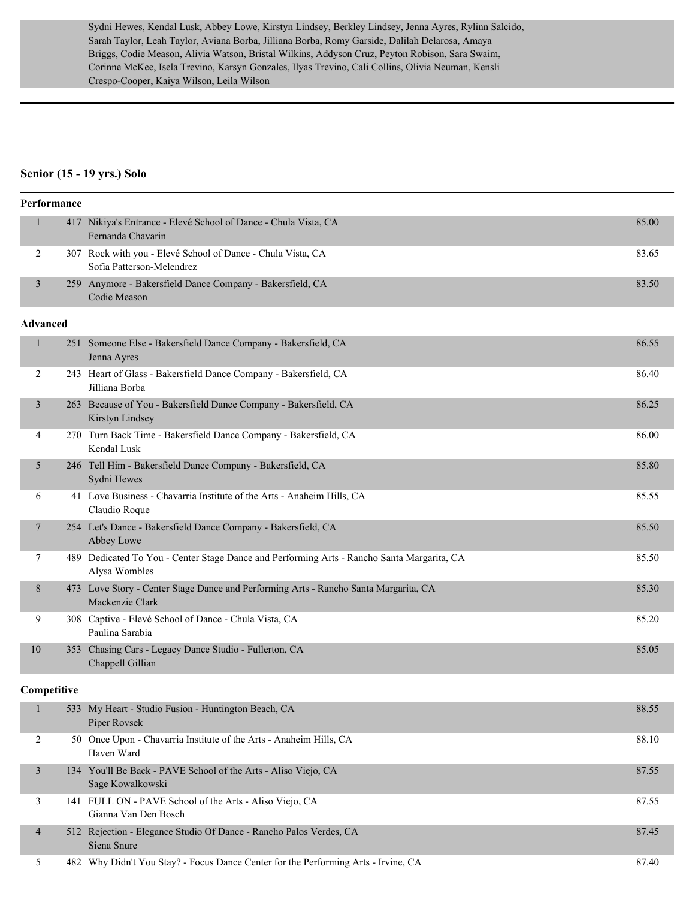Sydni Hewes, Kendal Lusk, Abbey Lowe, Kirstyn Lindsey, Berkley Lindsey, Jenna Ayres, Rylinn Salcido, Sarah Taylor, Leah Taylor, Aviana Borba, Jilliana Borba, Romy Garside, Dalilah Delarosa, Amaya Briggs, Codie Meason, Alivia Watson, Bristal Wilkins, Addyson Cruz, Peyton Robison, Sara Swaim, Corinne McKee, Isela Trevino, Karsyn Gonzales, Ilyas Trevino, Cali Collins, Olivia Neuman, Kensli Crespo-Cooper, Kaiya Wilson, Leila Wilson

#### **Senior (15 - 19 yrs.) Solo**

| Performance     |             |                                                                                                             |       |  |  |
|-----------------|-------------|-------------------------------------------------------------------------------------------------------------|-------|--|--|
|                 |             | 417 Nikiya's Entrance - Elevé School of Dance - Chula Vista, CA<br>Fernanda Chavarin                        | 85.00 |  |  |
| 2               |             | 307 Rock with you - Elevé School of Dance - Chula Vista, CA<br>Sofia Patterson-Melendrez                    | 83.65 |  |  |
| 3               |             | 259 Anymore - Bakersfield Dance Company - Bakersfield, CA<br>Codie Meason                                   | 83.50 |  |  |
| <b>Advanced</b> |             |                                                                                                             |       |  |  |
| 1               |             | 251 Someone Else - Bakersfield Dance Company - Bakersfield, CA<br>Jenna Ayres                               | 86.55 |  |  |
| 2               |             | 243 Heart of Glass - Bakersfield Dance Company - Bakersfield, CA<br>Jilliana Borba                          | 86.40 |  |  |
| 3               |             | 263 Because of You - Bakersfield Dance Company - Bakersfield, CA<br>Kirstyn Lindsey                         | 86.25 |  |  |
| 4               |             | 270 Turn Back Time - Bakersfield Dance Company - Bakersfield, CA<br>Kendal Lusk                             | 86.00 |  |  |
| 5               |             | 246 Tell Him - Bakersfield Dance Company - Bakersfield, CA<br>Sydni Hewes                                   | 85.80 |  |  |
| 6               |             | 41 Love Business - Chavarria Institute of the Arts - Anaheim Hills, CA<br>Claudio Roque                     | 85.55 |  |  |
| 7               |             | 254 Let's Dance - Bakersfield Dance Company - Bakersfield, CA<br>Abbey Lowe                                 | 85.50 |  |  |
| 7               |             | 489 Dedicated To You - Center Stage Dance and Performing Arts - Rancho Santa Margarita, CA<br>Alysa Wombles | 85.50 |  |  |
| 8               |             | 473 Love Story - Center Stage Dance and Performing Arts - Rancho Santa Margarita, CA<br>Mackenzie Clark     | 85.30 |  |  |
| 9               |             | 308 Captive - Elevé School of Dance - Chula Vista, CA<br>Paulina Sarabia                                    | 85.20 |  |  |
| 10              |             | 353 Chasing Cars - Legacy Dance Studio - Fullerton, CA<br>Chappell Gillian                                  | 85.05 |  |  |
|                 | Competitive |                                                                                                             |       |  |  |
| $\mathbf{1}$    |             | 533 My Heart - Studio Fusion - Huntington Beach, CA<br>Piper Rovsek                                         | 88.55 |  |  |
| 2               |             | 50 Once Upon - Chavarria Institute of the Arts - Anaheim Hills, CA<br>Haven Ward                            | 88.10 |  |  |
| 3               |             | 134 You'll Be Back - PAVE School of the Arts - Aliso Viejo, CA<br>Sage Kowalkowski                          | 87.55 |  |  |
| 3               |             | 141 FULL ON - PAVE School of the Arts - Aliso Viejo, CA<br>Gianna Van Den Bosch                             | 87.55 |  |  |
| $\overline{4}$  |             | 512 Rejection - Elegance Studio Of Dance - Rancho Palos Verdes, CA<br>Siena Snure                           | 87.45 |  |  |
| 5               |             | 482 Why Didn't You Stay? - Focus Dance Center for the Performing Arts - Irvine, CA                          | 87.40 |  |  |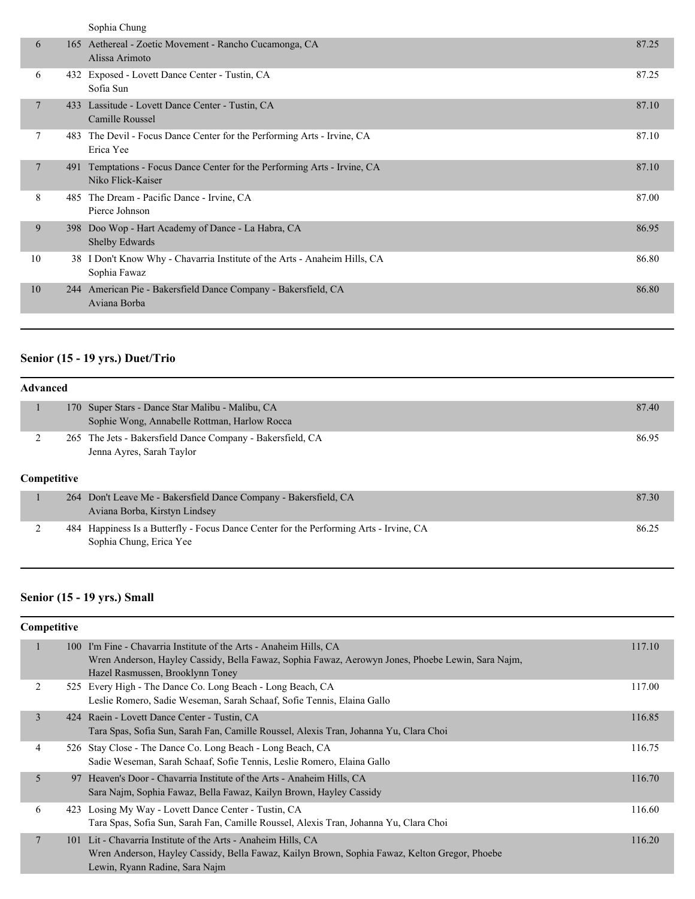|    |     | Sophia Chung                                                                               |       |
|----|-----|--------------------------------------------------------------------------------------------|-------|
| 6  | 165 | Aethereal - Zoetic Movement - Rancho Cucamonga, CA<br>Alissa Arimoto                       | 87.25 |
| 6  |     | 432 Exposed - Lovett Dance Center - Tustin, CA<br>Sofia Sun                                | 87.25 |
| 7  | 433 | Lassitude - Lovett Dance Center - Tustin, CA<br>Camille Roussel                            | 87.10 |
| 7  | 483 | The Devil - Focus Dance Center for the Performing Arts - Irvine, CA<br>Erica Yee           | 87.10 |
| 7  | 491 | Temptations - Focus Dance Center for the Performing Arts - Irvine, CA<br>Niko Flick-Kaiser | 87.10 |
| 8  | 485 | The Dream - Pacific Dance - Irvine, CA<br>Pierce Johnson                                   | 87.00 |
| 9  | 398 | Doo Wop - Hart Academy of Dance - La Habra, CA<br><b>Shelby Edwards</b>                    | 86.95 |
| 10 |     | 38 I Don't Know Why - Chavarria Institute of the Arts - Anaheim Hills, CA<br>Sophia Fawaz  | 86.80 |
| 10 |     | 244 American Pie - Bakersfield Dance Company - Bakersfield, CA<br>Aviana Borba             | 86.80 |
|    |     |                                                                                            |       |

# **Senior (15 - 19 yrs.) Duet/Trio**

| <b>Advanced</b> |             |                                                                                                                   |       |  |
|-----------------|-------------|-------------------------------------------------------------------------------------------------------------------|-------|--|
|                 |             | 170 Super Stars - Dance Star Malibu - Malibu, CA<br>Sophie Wong, Annabelle Rottman, Harlow Rocca                  | 87.40 |  |
|                 | Competitive | 265 The Jets - Bakersfield Dance Company - Bakersfield, CA<br>Jenna Ayres, Sarah Taylor                           | 86.95 |  |
|                 |             | 264 Don't Leave Me - Bakersfield Dance Company - Bakersfield, CA<br>Aviana Borba, Kirstyn Lindsey                 | 87.30 |  |
| ↑               |             | 484 Happiness Is a Butterfly - Focus Dance Center for the Performing Arts - Irvine, CA<br>Sophia Chung, Erica Yee | 86.25 |  |

# **Senior (15 - 19 yrs.) Small**

| Competitive    |  |                                                                                                                                                                                                             |        |  |
|----------------|--|-------------------------------------------------------------------------------------------------------------------------------------------------------------------------------------------------------------|--------|--|
|                |  | 100 I'm Fine - Chavarria Institute of the Arts - Anaheim Hills, CA<br>Wren Anderson, Hayley Cassidy, Bella Fawaz, Sophia Fawaz, Aerowyn Jones, Phoebe Lewin, Sara Najm,<br>Hazel Rasmussen, Brooklynn Toney | 117.10 |  |
| 2              |  | 525 Every High - The Dance Co. Long Beach - Long Beach, CA<br>Leslie Romero, Sadie Weseman, Sarah Schaaf, Sofie Tennis, Elaina Gallo                                                                        | 117.00 |  |
| 3              |  | 424 Raein - Lovett Dance Center - Tustin, CA<br>Tara Spas, Sofia Sun, Sarah Fan, Camille Roussel, Alexis Tran, Johanna Yu, Clara Choi                                                                       | 116.85 |  |
| 4              |  | 526 Stay Close - The Dance Co. Long Beach - Long Beach, CA<br>Sadie Weseman, Sarah Schaaf, Sofie Tennis, Leslie Romero, Elaina Gallo                                                                        | 116.75 |  |
| 5              |  | 97 Heaven's Door - Chavarria Institute of the Arts - Anaheim Hills, CA<br>Sara Najm, Sophia Fawaz, Bella Fawaz, Kailyn Brown, Hayley Cassidy                                                                | 116.70 |  |
| 6              |  | 423 Losing My Way - Lovett Dance Center - Tustin, CA<br>Tara Spas, Sofia Sun, Sarah Fan, Camille Roussel, Alexis Tran, Johanna Yu, Clara Choi                                                               | 116.60 |  |
| $\overline{7}$ |  | 101 Lit - Chavarria Institute of the Arts - Anaheim Hills, CA<br>Wren Anderson, Hayley Cassidy, Bella Fawaz, Kailyn Brown, Sophia Fawaz, Kelton Gregor, Phoebe<br>Lewin, Ryann Radine, Sara Najm            | 116.20 |  |